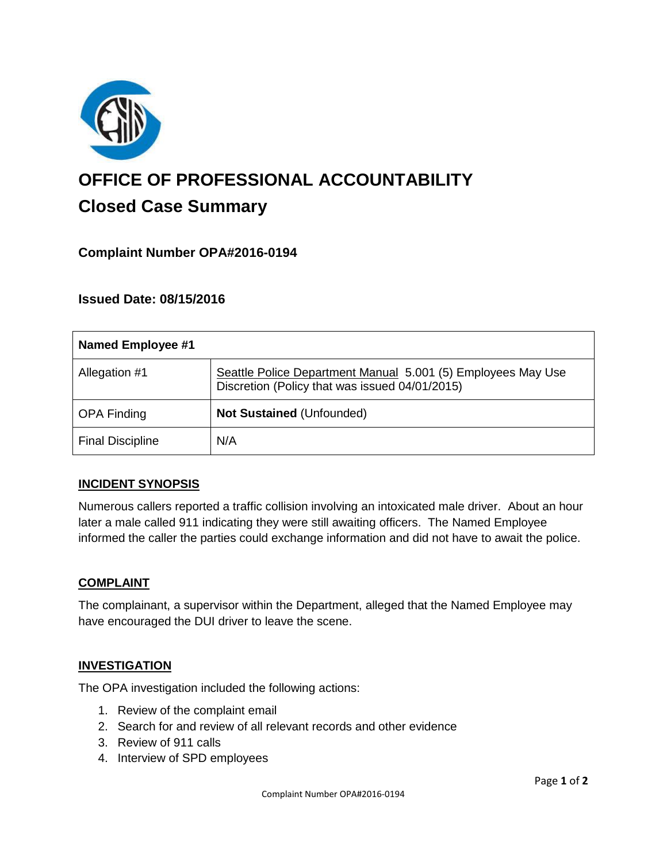

# **OFFICE OF PROFESSIONAL ACCOUNTABILITY Closed Case Summary**

# **Complaint Number OPA#2016-0194**

# **Issued Date: 08/15/2016**

| <b>Named Employee #1</b> |                                                                                                                |
|--------------------------|----------------------------------------------------------------------------------------------------------------|
| Allegation #1            | Seattle Police Department Manual 5.001 (5) Employees May Use<br>Discretion (Policy that was issued 04/01/2015) |
| <b>OPA Finding</b>       | Not Sustained (Unfounded)                                                                                      |
| <b>Final Discipline</b>  | N/A                                                                                                            |

## **INCIDENT SYNOPSIS**

Numerous callers reported a traffic collision involving an intoxicated male driver. About an hour later a male called 911 indicating they were still awaiting officers. The Named Employee informed the caller the parties could exchange information and did not have to await the police.

## **COMPLAINT**

The complainant, a supervisor within the Department, alleged that the Named Employee may have encouraged the DUI driver to leave the scene.

#### **INVESTIGATION**

The OPA investigation included the following actions:

- 1. Review of the complaint email
- 2. Search for and review of all relevant records and other evidence
- 3. Review of 911 calls
- 4. Interview of SPD employees